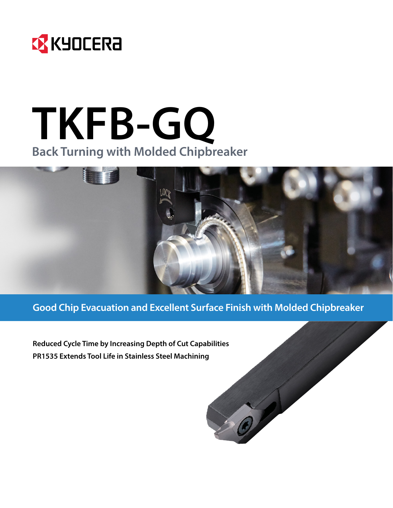

## **TKFB-GQ Back Turning with Molded Chipbreaker**



**Good Chip Evacuation and Excellent Surface Finish with Molded Chipbreaker**

OF P

**Reduced Cycle Time by Increasing Depth of Cut Capabilities PR1535 Extends Tool Life in Stainless Steel Machining**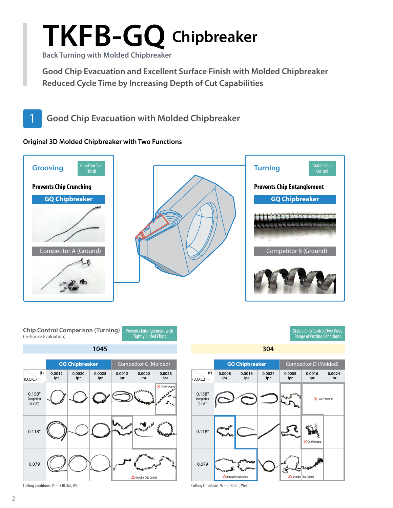# **TKFB-GQ Chipbreaker**

**Back Turning with Molded Chipbreaker**

**Good Chip Evacuation and Excellent Surface Finish with Molded Chipbreaker Reduced Cycle Time by Increasing Depth of Cut Capabilities**



#### **Original 3D Molded Chipbreaker with Two Functions**







Cutting Conditions: Vc = 330 sfm, Wet

**1045 304** Stable Chip Control Over Wide Range of Cutting Conditions **GQ Chipbreaker** Competitor D (Molded) **0.0016 ipr 0.0024 ipr 0.0008 ipr 0.0016 ipr 0.0024 ipr**  $\times$  Insert Fracture



Cutting Conditions: Vc = 260 sfm, Wet

(f)  $(D.O.C.)$ 

> 0.158" **Competitor** (0.138")

**0.0008 ipr**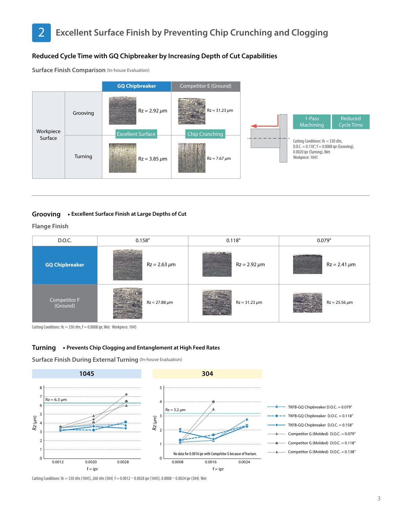#### **Reduced Cycle Time with GQ Chipbreaker by Increasing Depth of Cut Capabilities**

**Surface Finish Comparison** (In-house Evaluation)



#### **Grooving • Excellent Surface Finish at Large Depths of Cut**

**Flange Finish**



Cutting Conditions:  $Vc = 330$  sfm,  $f = 0.0008$  ipr, Wet Workpiece: 1045

#### **Turning • Prevents Chip Clogging and Entanglement at High Feed Rates**

**Surface Finish During External Turning** (In-house Evaluation)



Cutting Conditions: Vc = 330 sfm (1045), 260 sfm (304) f = 0.0012 – 0.0028 ipr (1045), 0.0008 – 0.0024 ipr (304) Wet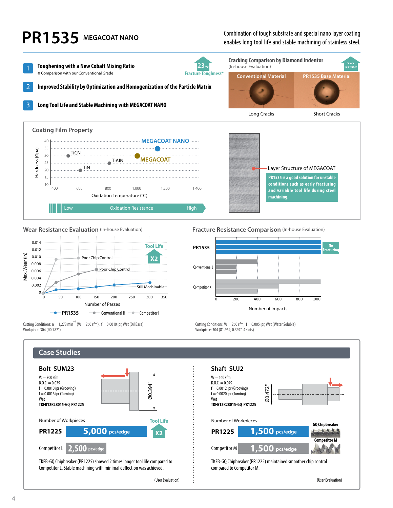

Low Cxidation Resistance High 10 400 600 800 1,000 1,200 1,400 Oxidation Temperature (°C)

**PR1535 is a good solution for unstable conditions such as early fracturing and variable tool life during steel machining.**



Cutting Conditions:  $n = 1,273$  min<sup>-1</sup> (Vc = 260 sfm), f = 0.0010 ipr, Wet (Oil Base)

**Wear Resistance Evaluation** (In-house Evaluation) **Fracture Resistance Comparison** (In-house Evaluation)



Cutting Conditions:  $Vc = 260$  sfm,  $f = 0.005$  ipr, Wet (Water Soluble) Workpiece: 304 (Ø1.969, 0.394" 4 slots)

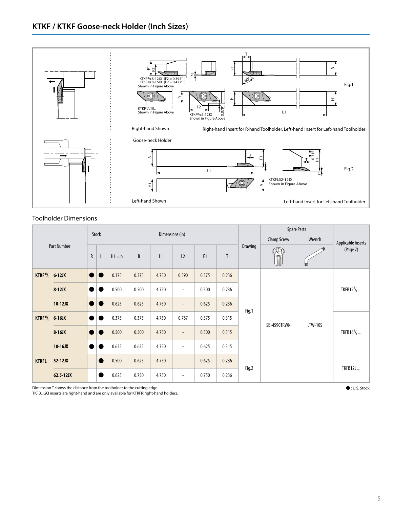

#### Toolholder Dimensions

| <b>Part Number</b>  |           |                 | Stock          | Dimensions (in) |       |       |                          |                |       |                    | <b>Spare Parts</b> |                    |                                  |
|---------------------|-----------|-----------------|----------------|-----------------|-------|-------|--------------------------|----------------|-------|--------------------|--------------------|--------------------|----------------------------------|
|                     |           |                 |                |                 |       |       |                          |                |       | <b>Clamp Screw</b> | Wrench             | Applicable Inserts |                                  |
|                     |           | ${\sf R}$       | L              | $H1 = h$        | B     | L1    | L2                       | F <sub>1</sub> | T     | Drawing            | U)<br>T            | ₩                  | (Page 7)                         |
| <b>KTKFR</b> 6-12JX |           | $\bullet$       | $\blacksquare$ | 0.375           | 0.375 | 4.750 | 0.590                    | 0.375          | 0.236 |                    |                    |                    | TKFB12 $^R/$ <sub>L</sub>        |
|                     | $8-12JX$  |                 |                | 0.500           | 0.500 | 4.750 | $\overline{\phantom{a}}$ | 0.500          | 0.236 |                    | SB-4590TRWN        | <b>LTW-10S</b>     |                                  |
|                     | $10-12JX$ | $\blacksquare$  | ٠              | 0.625           | 0.625 | 4.750 | $\overline{\phantom{a}}$ | 0.625          | 0.236 | Fig.1              |                    |                    |                                  |
| <b>KTKFR</b> 6-16JX |           | $\qquad \qquad$ |                | 0.375           | 0.375 | 4.750 | 0.787                    | 0.375          | 0.315 |                    |                    |                    | TKFB16 $^{\rm R}$ / <sub>1</sub> |
|                     | $8-16JX$  | ٠               |                | 0.500           | 0.500 | 4.750 | $\overline{\phantom{a}}$ | 0.500          | 0.315 |                    |                    |                    |                                  |
|                     | $10-16JX$ |                 |                | 0.625           | 0.625 | 4.750 | $\overline{\phantom{a}}$ | 0.625          | 0.315 |                    |                    |                    |                                  |
| <b>KTKFL</b>        | 52-12JX   |                 |                | 0.500           | 0.625 | 4.750 | $\overline{\phantom{a}}$ | 0.625          | 0.236 |                    |                    |                    | <b>TKFB12L</b>                   |
|                     | 62.5-12JX |                 |                | 0.625           | 0.750 | 4.750 | ٠                        | 0.750          | 0.236 | Fig.2              |                    |                    |                                  |

Dimension T shows the distance from the toolholder to the cutting edge.

TKFB...GQ inserts are right-hand and are only available for KTKF**R** right-hand holders.

Þ : U.S. Stock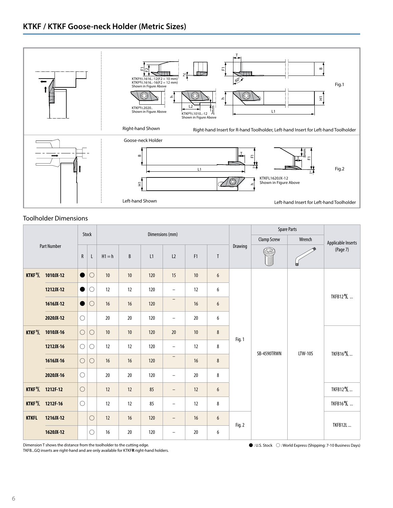

#### Toolholder Dimensions

| Part Number          |                               |            | Stock      | Dimensions (mm) |      |     |                          |                |                  |                    | <b>Spare Parts</b> |                    |                        |
|----------------------|-------------------------------|------------|------------|-----------------|------|-----|--------------------------|----------------|------------------|--------------------|--------------------|--------------------|------------------------|
|                      |                               |            |            |                 |      |     |                          |                |                  | <b>Clamp Screw</b> | Wrench             | Applicable Inserts |                        |
|                      |                               | ${\sf R}$  | L          | $H1 = h$        | B    | L1  | L2                       | F <sub>1</sub> | $\mathsf{T}$     | Drawing            |                    | ш                  | (Page 7)               |
|                      | KTKF <sup>R</sup> / 1010JX-12 | D          | $\circ$    | 10              | $10$ | 120 | 15                       | $10\,$         | $\boldsymbol{6}$ |                    |                    | <b>LTW-10S</b>     | TKFB12 <sup>R</sup> /L |
|                      | 1212JX-12                     | $\bullet$  | $\bigcirc$ | 12              | 12   | 120 | $\overline{\phantom{a}}$ | 12             | 6                |                    |                    |                    |                        |
|                      | 1616JX-12                     | $\bullet$  | $\bigcirc$ | 16              | 16   | 120 | $\qquad \qquad -$        | $16$           | 6                |                    |                    |                    |                        |
|                      | 2020JX-12                     | $\bigcirc$ |            | 20              | 20   | 120 | $\overline{\phantom{0}}$ | 20             | 6                |                    |                    |                    |                        |
| KTKF <sup>R</sup> /L | 1010JX-16                     | $\bigcirc$ | $\bigcirc$ | 10              | 10   | 120 | 20                       | 10             | $\bf 8$          | Fig. 1             | SB-4590TRWN        |                    | TKFB16 <sup>R</sup> /L |
|                      | 1212JX-16                     | $\bigcirc$ | $\bigcirc$ | 12              | 12   | 120 | $\qquad \qquad -$        | 12             | 8                |                    |                    |                    |                        |
|                      | 1616JX-16                     | $\bigcirc$ | $\bigcirc$ | 16              | 16   | 120 | $\qquad \qquad -$        | $16$           | 8                |                    |                    |                    |                        |
|                      | 2020JX-16                     | $\bigcirc$ |            | $20\,$          | 20   | 120 | $\qquad \qquad -$        | $20\,$         | 8                |                    |                    |                    |                        |
|                      | KTKF <sup>R</sup> / 1212F-12  | $\bigcirc$ |            | 12              | 12   | 85  | $\qquad \qquad -$        | 12             | 6                |                    |                    |                    | TKFB12 %               |
|                      | KTKF <sup>R</sup> / 1212F-16  | $\bigcirc$ |            | 12              | 12   | 85  | $\overline{\phantom{0}}$ | 12             | 8                |                    |                    |                    | TKFB16 <sup>R</sup> /L |
| <b>KTKFL</b>         | 1216JX-12                     |            | $\bigcirc$ | 12              | 16   | 120 | -                        | 16             | 6                | Fig. 2             |                    |                    | <b>TKFB12L</b>         |
|                      | 1620JX-12                     |            | $\bigcirc$ | 16              | 20   | 120 | -                        | 20             | 6                |                    |                    |                    |                        |

Dimension T shows the distance from the toolholder to the cutting edge.

TKFB...GQ inserts are right-hand and are only available for KTKF**R** right-hand holders.

 $\bigcirc$  : U.S. Stock  $\bigcirc$  : World Express (Shipping: 7-10 Business Days)